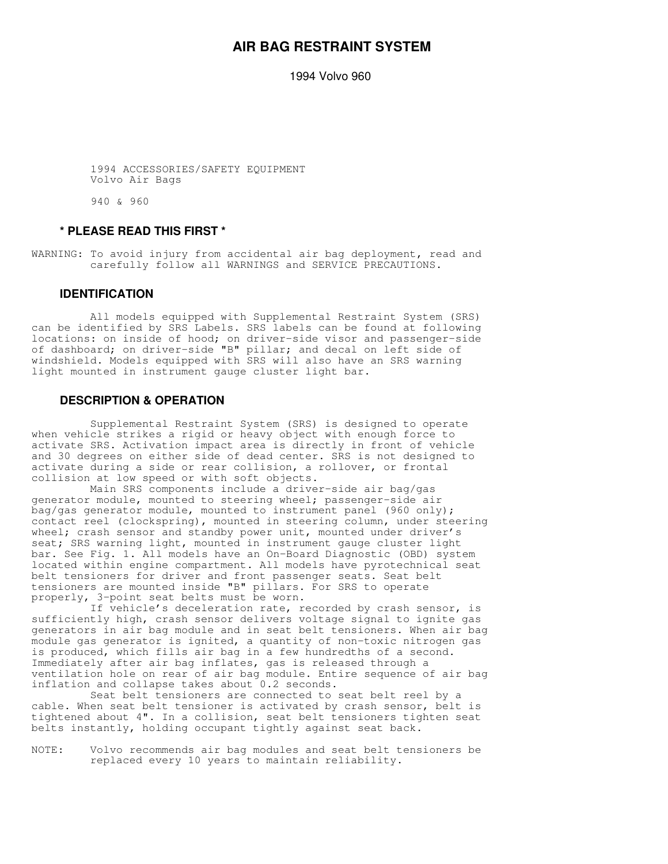# **AIR BAG RESTRAINT SYSTEM**

1994 Volvo 960

 1994 ACCESSORIES/SAFETY EQUIPMENT Volvo Air Bags

940 & 960

#### **\* PLEASE READ THIS FIRST \***

WARNING: To avoid injury from accidental air bag deployment, read and carefully follow all WARNINGS and SERVICE PRECAUTIONS.

#### **IDENTIFICATION**

 All models equipped with Supplemental Restraint System (SRS) can be identified by SRS Labels. SRS labels can be found at following locations: on inside of hood; on driver-side visor and passenger-side of dashboard; on driver-side "B" pillar; and decal on left side of windshield. Models equipped with SRS will also have an SRS warning light mounted in instrument gauge cluster light bar.

### **DESCRIPTION & OPERATION**

 Supplemental Restraint System (SRS) is designed to operate when vehicle strikes a rigid or heavy object with enough force to activate SRS. Activation impact area is directly in front of vehicle and 30 degrees on either side of dead center. SRS is not designed to activate during a side or rear collision, a rollover, or frontal collision at low speed or with soft objects.

 Main SRS components include a driver-side air bag/gas generator module, mounted to steering wheel; passenger-side air bag/gas generator module, mounted to instrument panel (960 only); contact reel (clockspring), mounted in steering column, under steering wheel; crash sensor and standby power unit, mounted under driver's seat; SRS warning light, mounted in instrument gauge cluster light bar. See Fig. 1. All models have an On-Board Diagnostic (OBD) system located within engine compartment. All models have pyrotechnical seat belt tensioners for driver and front passenger seats. Seat belt tensioners are mounted inside "B" pillars. For SRS to operate properly, 3-point seat belts must be worn.

 If vehicle's deceleration rate, recorded by crash sensor, is sufficiently high, crash sensor delivers voltage signal to ignite gas generators in air bag module and in seat belt tensioners. When air bag module gas generator is ignited, a quantity of non-toxic nitrogen gas is produced, which fills air bag in a few hundredths of a second. Immediately after air bag inflates, gas is released through a ventilation hole on rear of air bag module. Entire sequence of air bag inflation and collapse takes about 0.2 seconds.

 Seat belt tensioners are connected to seat belt reel by a cable. When seat belt tensioner is activated by crash sensor, belt is tightened about 4". In a collision, seat belt tensioners tighten seat belts instantly, holding occupant tightly against seat back.

NOTE: Volvo recommends air bag modules and seat belt tensioners be replaced every 10 years to maintain reliability.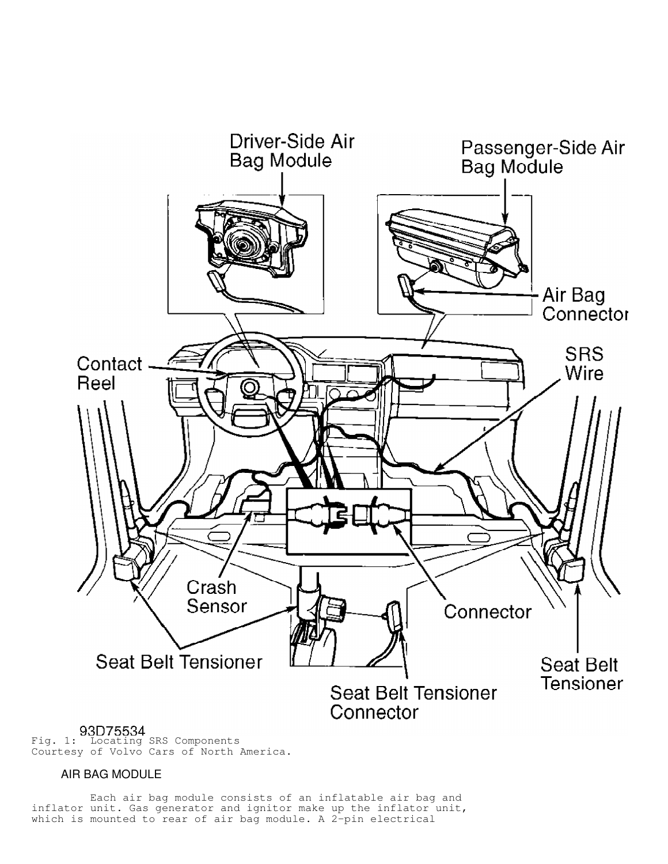

Fig. 1: Locating SRS Components Courtesy of Volvo Cars of North America.

# AIR BAG MODULE

 Each air bag module consists of an inflatable air bag and inflator unit. Gas generator and ignitor make up the inflator unit, which is mounted to rear of air bag module. A 2-pin electrical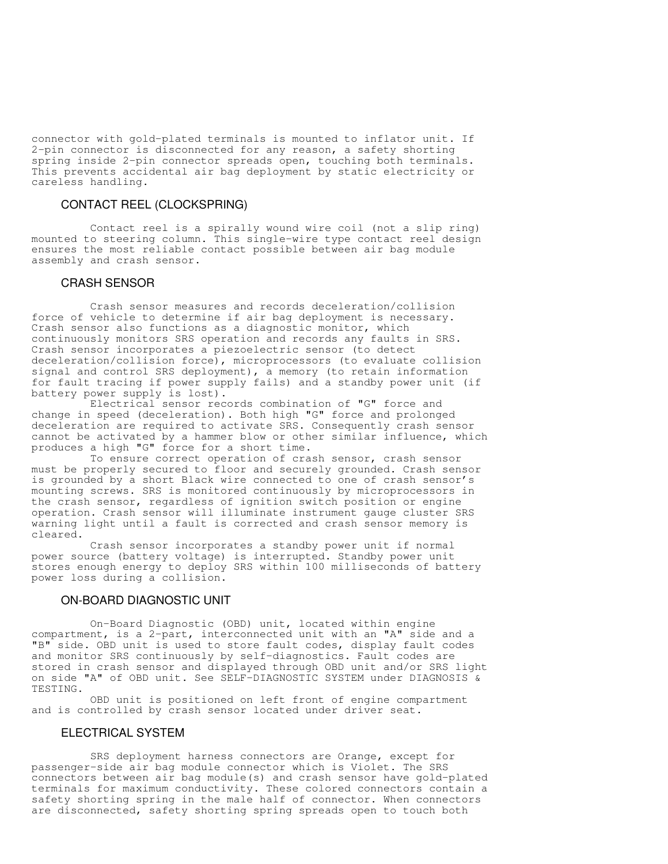connector with gold-plated terminals is mounted to inflator unit. If 2-pin connector is disconnected for any reason, a safety shorting spring inside 2-pin connector spreads open, touching both terminals. This prevents accidental air bag deployment by static electricity or careless handling.

# CONTACT REEL (CLOCKSPRING)

 Contact reel is a spirally wound wire coil (not a slip ring) mounted to steering column. This single-wire type contact reel design ensures the most reliable contact possible between air bag module assembly and crash sensor.

#### CRASH SENSOR

 Crash sensor measures and records deceleration/collision force of vehicle to determine if air bag deployment is necessary. Crash sensor also functions as a diagnostic monitor, which continuously monitors SRS operation and records any faults in SRS. Crash sensor incorporates a piezoelectric sensor (to detect deceleration/collision force), microprocessors (to evaluate collision signal and control SRS deployment), a memory (to retain information for fault tracing if power supply fails) and a standby power unit (if battery power supply is lost).

 Electrical sensor records combination of "G" force and change in speed (deceleration). Both high "G" force and prolonged deceleration are required to activate SRS. Consequently crash sensor cannot be activated by a hammer blow or other similar influence, which produces a high "G" force for a short time.

 To ensure correct operation of crash sensor, crash sensor must be properly secured to floor and securely grounded. Crash sensor is grounded by a short Black wire connected to one of crash sensor's mounting screws. SRS is monitored continuously by microprocessors in the crash sensor, regardless of ignition switch position or engine operation. Crash sensor will illuminate instrument gauge cluster SRS warning light until a fault is corrected and crash sensor memory is cleared.

 Crash sensor incorporates a standby power unit if normal power source (battery voltage) is interrupted. Standby power unit stores enough energy to deploy SRS within 100 milliseconds of battery power loss during a collision.

# ON-BOARD DIAGNOSTIC UNIT

 On-Board Diagnostic (OBD) unit, located within engine compartment, is a 2-part, interconnected unit with an "A" side and a "B" side. OBD unit is used to store fault codes, display fault codes and monitor SRS continuously by self-diagnostics. Fault codes are stored in crash sensor and displayed through OBD unit and/or SRS light on side "A" of OBD unit. See SELF-DIAGNOSTIC SYSTEM under DIAGNOSIS & TESTING.

 OBD unit is positioned on left front of engine compartment and is controlled by crash sensor located under driver seat.

### ELECTRICAL SYSTEM

 SRS deployment harness connectors are Orange, except for passenger-side air bag module connector which is Violet. The SRS connectors between air bag module(s) and crash sensor have gold-plated terminals for maximum conductivity. These colored connectors contain a safety shorting spring in the male half of connector. When connectors are disconnected, safety shorting spring spreads open to touch both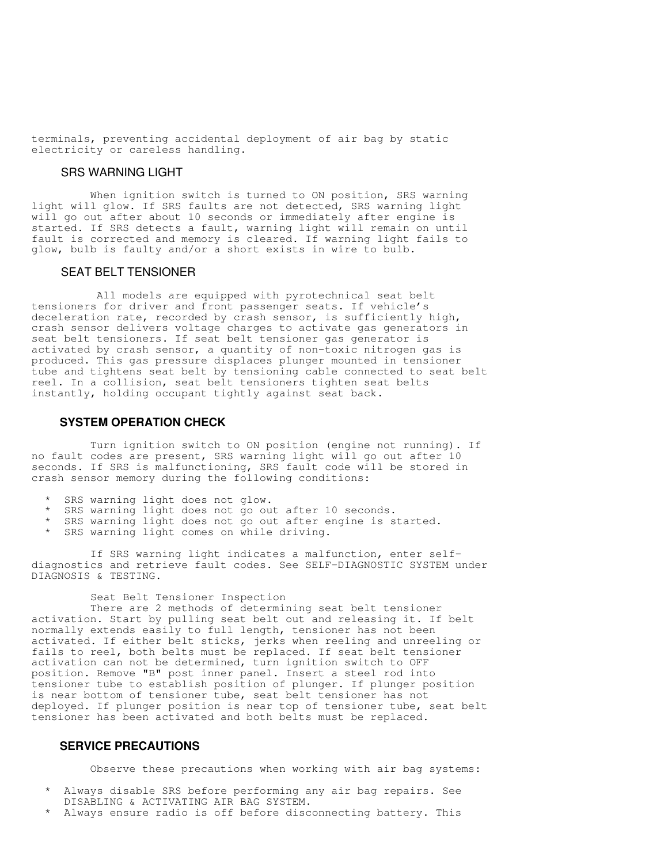terminals, preventing accidental deployment of air bag by static electricity or careless handling.

#### SRS WARNING LIGHT

 When ignition switch is turned to ON position, SRS warning light will glow. If SRS faults are not detected, SRS warning light will go out after about 10 seconds or immediately after engine is started. If SRS detects a fault, warning light will remain on until fault is corrected and memory is cleared. If warning light fails to glow, bulb is faulty and/or a short exists in wire to bulb.

# SEAT BELT TENSIONER

 All models are equipped with pyrotechnical seat belt tensioners for driver and front passenger seats. If vehicle's deceleration rate, recorded by crash sensor, is sufficiently high, crash sensor delivers voltage charges to activate gas generators in seat belt tensioners. If seat belt tensioner gas generator is activated by crash sensor, a quantity of non-toxic nitrogen gas is produced. This gas pressure displaces plunger mounted in tensioner tube and tightens seat belt by tensioning cable connected to seat belt reel. In a collision, seat belt tensioners tighten seat belts instantly, holding occupant tightly against seat back.

# **SYSTEM OPERATION CHECK**

 Turn ignition switch to ON position (engine not running). If no fault codes are present, SRS warning light will go out after 10 seconds. If SRS is malfunctioning, SRS fault code will be stored in crash sensor memory during the following conditions:

- \* SRS warning light does not glow.
- \* SRS warning light does not go out after 10 seconds.
- SRS warning light does not go out after engine is started.
- SRS warning light comes on while driving.

 If SRS warning light indicates a malfunction, enter selfdiagnostics and retrieve fault codes. See SELF-DIAGNOSTIC SYSTEM under DIAGNOSIS & TESTING.

Seat Belt Tensioner Inspection

 There are 2 methods of determining seat belt tensioner activation. Start by pulling seat belt out and releasing it. If belt normally extends easily to full length, tensioner has not been activated. If either belt sticks, jerks when reeling and unreeling or fails to reel, both belts must be replaced. If seat belt tensioner activation can not be determined, turn ignition switch to OFF position. Remove "B" post inner panel. Insert a steel rod into tensioner tube to establish position of plunger. If plunger position is near bottom of tensioner tube, seat belt tensioner has not deployed. If plunger position is near top of tensioner tube, seat belt tensioner has been activated and both belts must be replaced.

### **SERVICE PRECAUTIONS**

Observe these precautions when working with air bag systems:

- \* Always disable SRS before performing any air bag repairs. See DISABLING & ACTIVATING AIR BAG SYSTEM.
- Always ensure radio is off before disconnecting battery. This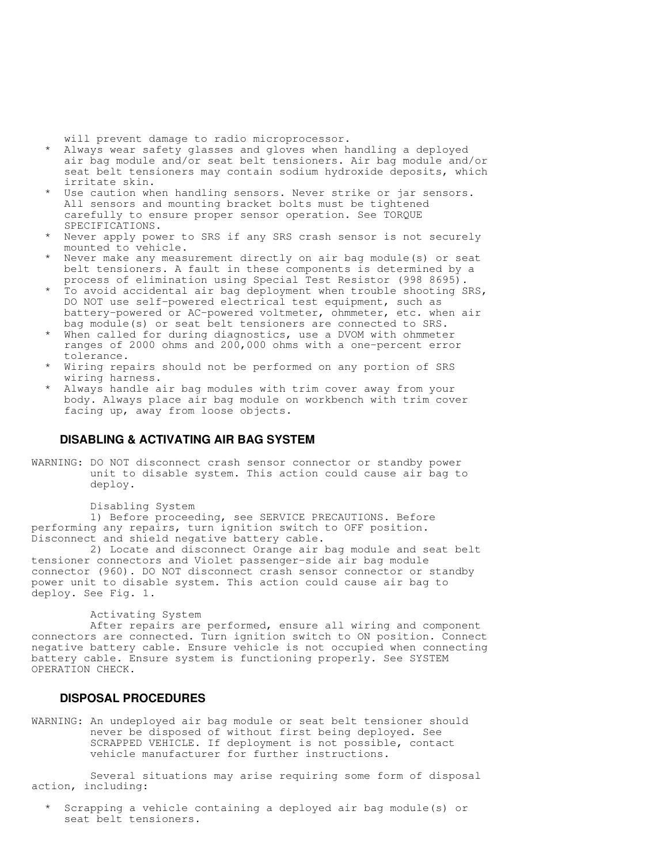will prevent damage to radio microprocessor.

- \* Always wear safety glasses and gloves when handling a deployed air bag module and/or seat belt tensioners. Air bag module and/or seat belt tensioners may contain sodium hydroxide deposits, which irritate skin.
	- \* Use caution when handling sensors. Never strike or jar sensors. All sensors and mounting bracket bolts must be tightened carefully to ensure proper sensor operation. See TORQUE SPECIFICATIONS.
	- Never apply power to SRS if any SRS crash sensor is not securely mounted to vehicle.
	- Never make any measurement directly on air bag module(s) or seat belt tensioners. A fault in these components is determined by a process of elimination using Special Test Resistor (998 8695).
	- \* To avoid accidental air bag deployment when trouble shooting SRS, DO NOT use self-powered electrical test equipment, such as battery-powered or AC-powered voltmeter, ohmmeter, etc. when air bag module(s) or seat belt tensioners are connected to SRS.
	- When called for during diagnostics, use a DVOM with ohmmeter ranges of 2000 ohms and 200,000 ohms with a one-percent error tolerance.
	- \* Wiring repairs should not be performed on any portion of SRS wiring harness.
	- \* Always handle air bag modules with trim cover away from your body. Always place air bag module on workbench with trim cover facing up, away from loose objects.

# **DISABLING & ACTIVATING AIR BAG SYSTEM**

WARNING: DO NOT disconnect crash sensor connector or standby power unit to disable system. This action could cause air bag to deploy.

Disabling System

 1) Before proceeding, see SERVICE PRECAUTIONS. Before performing any repairs, turn ignition switch to OFF position. Disconnect and shield negative battery cable.

 2) Locate and disconnect Orange air bag module and seat belt tensioner connectors and Violet passenger-side air bag module connector (960). DO NOT disconnect crash sensor connector or standby power unit to disable system. This action could cause air bag to deploy. See Fig. 1.

#### Activating System

 After repairs are performed, ensure all wiring and component connectors are connected. Turn ignition switch to ON position. Connect negative battery cable. Ensure vehicle is not occupied when connecting battery cable. Ensure system is functioning properly. See SYSTEM OPERATION CHECK.

# **DISPOSAL PROCEDURES**

WARNING: An undeployed air bag module or seat belt tensioner should never be disposed of without first being deployed. See SCRAPPED VEHICLE. If deployment is not possible, contact vehicle manufacturer for further instructions.

 Several situations may arise requiring some form of disposal action, including:

 \* Scrapping a vehicle containing a deployed air bag module(s) or seat belt tensioners.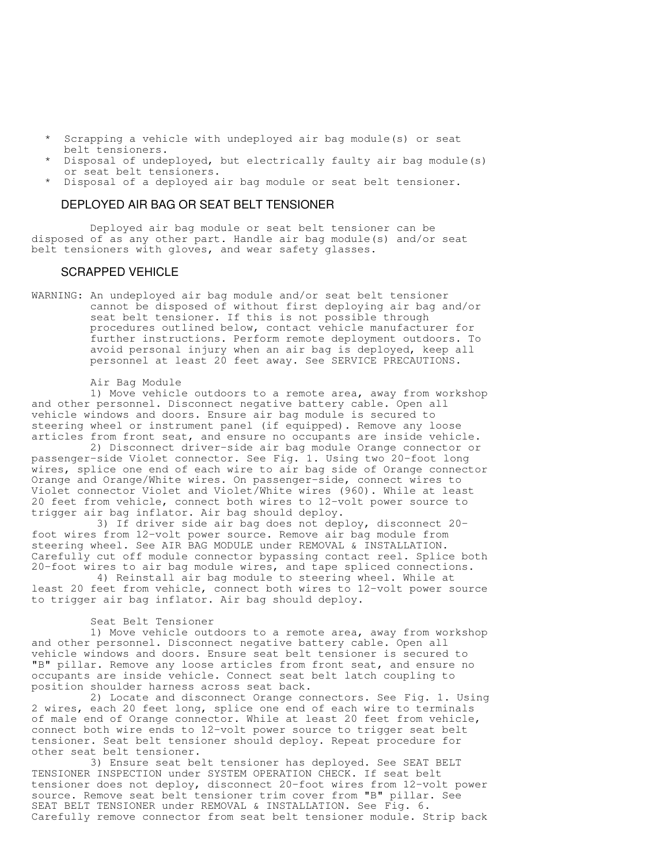- Scrapping a vehicle with undeployed air bag module(s) or seat belt tensioners.
- Disposal of undeployed, but electrically faulty air bag module(s) or seat belt tensioners.
- Disposal of a deployed air bag module or seat belt tensioner.

# DEPLOYED AIR BAG OR SEAT BELT TENSIONER

 Deployed air bag module or seat belt tensioner can be disposed of as any other part. Handle air bag module(s) and/or seat belt tensioners with gloves, and wear safety glasses.

#### SCRAPPED VEHICLE

WARNING: An undeployed air bag module and/or seat belt tensioner cannot be disposed of without first deploying air bag and/or seat belt tensioner. If this is not possible through procedures outlined below, contact vehicle manufacturer for further instructions. Perform remote deployment outdoors. To avoid personal injury when an air bag is deployed, keep all personnel at least 20 feet away. See SERVICE PRECAUTIONS.

#### Air Bag Module

 1) Move vehicle outdoors to a remote area, away from workshop and other personnel. Disconnect negative battery cable. Open all vehicle windows and doors. Ensure air bag module is secured to steering wheel or instrument panel (if equipped). Remove any loose articles from front seat, and ensure no occupants are inside vehicle.

 2) Disconnect driver-side air bag module Orange connector or passenger-side Violet connector. See Fig. 1. Using two 20-foot long wires, splice one end of each wire to air bag side of Orange connector Orange and Orange/White wires. On passenger-side, connect wires to Violet connector Violet and Violet/White wires (960). While at least 20 feet from vehicle, connect both wires to 12-volt power source to trigger air bag inflator. Air bag should deploy.

 3) If driver side air bag does not deploy, disconnect 20 foot wires from 12-volt power source. Remove air bag module from steering wheel. See AIR BAG MODULE under REMOVAL & INSTALLATION. Carefully cut off module connector bypassing contact reel. Splice both 20-foot wires to air bag module wires, and tape spliced connections.

 4) Reinstall air bag module to steering wheel. While at least 20 feet from vehicle, connect both wires to 12-volt power source to trigger air bag inflator. Air bag should deploy.

#### Seat Belt Tensioner

 1) Move vehicle outdoors to a remote area, away from workshop and other personnel. Disconnect negative battery cable. Open all vehicle windows and doors. Ensure seat belt tensioner is secured to "B" pillar. Remove any loose articles from front seat, and ensure no occupants are inside vehicle. Connect seat belt latch coupling to position shoulder harness across seat back.

 2) Locate and disconnect Orange connectors. See Fig. 1. Using 2 wires, each 20 feet long, splice one end of each wire to terminals of male end of Orange connector. While at least 20 feet from vehicle, connect both wire ends to 12-volt power source to trigger seat belt tensioner. Seat belt tensioner should deploy. Repeat procedure for other seat belt tensioner.

 3) Ensure seat belt tensioner has deployed. See SEAT BELT TENSIONER INSPECTION under SYSTEM OPERATION CHECK. If seat belt tensioner does not deploy, disconnect 20-foot wires from 12-volt power source. Remove seat belt tensioner trim cover from "B" pillar. See SEAT BELT TENSIONER under REMOVAL & INSTALLATION. See Fig. 6. Carefully remove connector from seat belt tensioner module. Strip back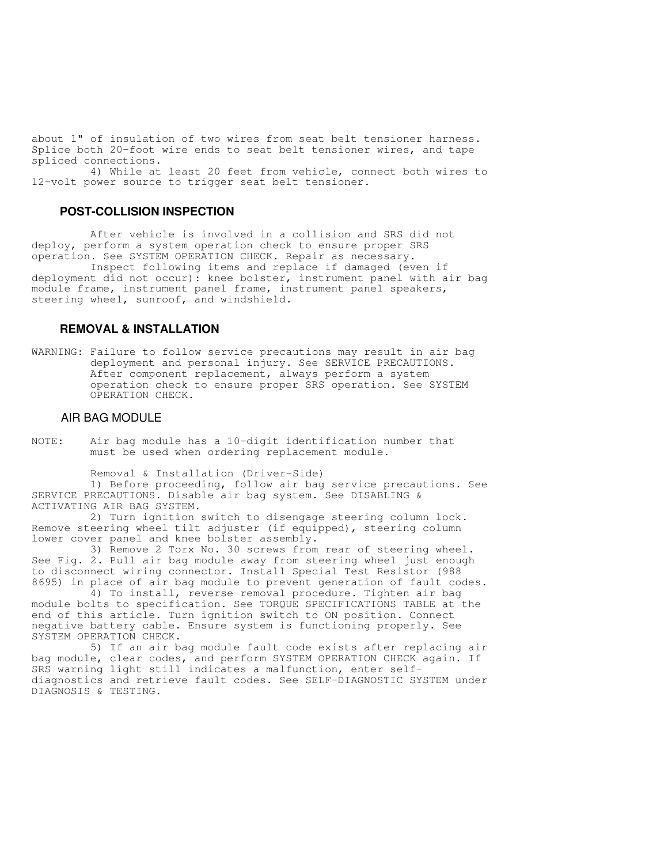about 1" of insulation of two wires from seat belt tensioner harness. Splice both 20-foot wire ends to seat belt tensioner wires, and tape spliced connections.

 4) While at least 20 feet from vehicle, connect both wires to 12-volt power source to trigger seat belt tensioner.

### **POST-COLLISION INSPECTION**

 After vehicle is involved in a collision and SRS did not deploy, perform a system operation check to ensure proper SRS operation. See SYSTEM OPERATION CHECK. Repair as necessary.

 Inspect following items and replace if damaged (even if deployment did not occur): knee bolster, instrument panel with air bag module frame, instrument panel frame, instrument panel speakers, steering wheel, sunroof, and windshield.

#### **REMOVAL & INSTALLATION**

WARNING: Failure to follow service precautions may result in air bag deployment and personal injury. See SERVICE PRECAUTIONS. After component replacement, always perform a system operation check to ensure proper SRS operation. See SYSTEM OPERATION CHECK.

#### AIR BAG MODULE

NOTE: Air bag module has a 10-digit identification number that must be used when ordering replacement module.

Removal & Installation (Driver-Side)

 1) Before proceeding, follow air bag service precautions. See SERVICE PRECAUTIONS. Disable air bag system. See DISABLING & ACTIVATING AIR BAG SYSTEM.

 2) Turn ignition switch to disengage steering column lock. Remove steering wheel tilt adjuster (if equipped), steering column lower cover panel and knee bolster assembly.

 3) Remove 2 Torx No. 30 screws from rear of steering wheel. See Fig. 2. Pull air bag module away from steering wheel just enough to disconnect wiring connector. Install Special Test Resistor (988 8695) in place of air bag module to prevent generation of fault codes.

 4) To install, reverse removal procedure. Tighten air bag module bolts to specification. See TORQUE SPECIFICATIONS TABLE at the end of this article. Turn ignition switch to ON position. Connect negative battery cable. Ensure system is functioning properly. See SYSTEM OPERATION CHECK.

 5) If an air bag module fault code exists after replacing air bag module, clear codes, and perform SYSTEM OPERATION CHECK again. If SRS warning light still indicates a malfunction, enter selfdiagnostics and retrieve fault codes. See SELF-DIAGNOSTIC SYSTEM under DIAGNOSIS & TESTING.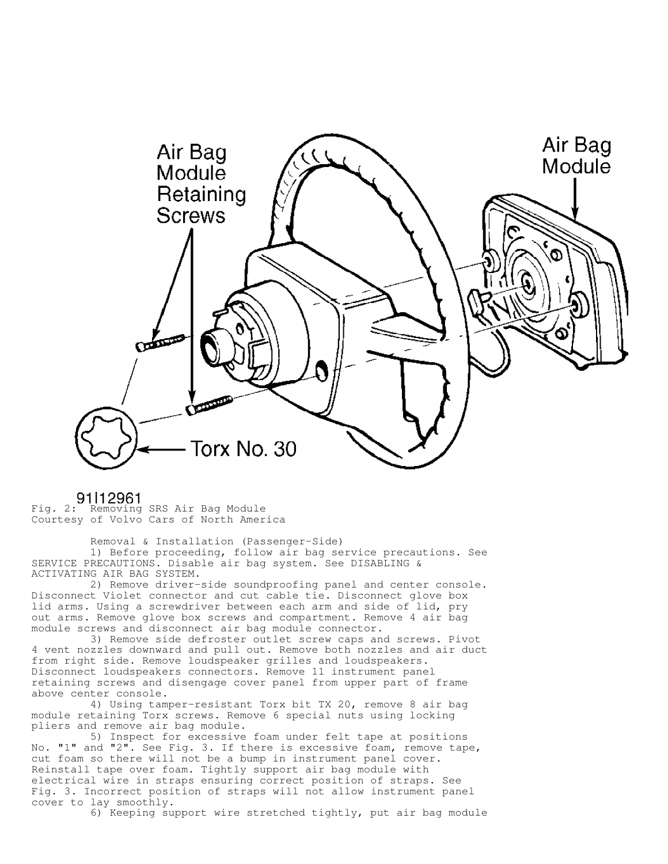

# 91l12961

Fig. 2: Removing SRS Air Bag Module Courtesy of Volvo Cars of North America

 Removal & Installation (Passenger-Side) 1) Before proceeding, follow air bag service precautions. See SERVICE PRECAUTIONS. Disable air bag system. See DISABLING & ACTIVATING AIR BAG SYSTEM.

 2) Remove driver-side soundproofing panel and center console. Disconnect Violet connector and cut cable tie. Disconnect glove box lid arms. Using a screwdriver between each arm and side of lid, pry out arms. Remove glove box screws and compartment. Remove 4 air bag module screws and disconnect air bag module connector.

 3) Remove side defroster outlet screw caps and screws. Pivot 4 vent nozzles downward and pull out. Remove both nozzles and air duct from right side. Remove loudspeaker grilles and loudspeakers. Disconnect loudspeakers connectors. Remove 11 instrument panel retaining screws and disengage cover panel from upper part of frame above center console.

 4) Using tamper-resistant Torx bit TX 20, remove 8 air bag module retaining Torx screws. Remove 6 special nuts using locking pliers and remove air bag module.

 5) Inspect for excessive foam under felt tape at positions No. "1" and "2". See Fig. 3. If there is excessive foam, remove tape, cut foam so there will not be a bump in instrument panel cover. Reinstall tape over foam. Tightly support air bag module with electrical wire in straps ensuring correct position of straps. See Fig. 3. Incorrect position of straps will not allow instrument panel cover to lay smoothly.

6) Keeping support wire stretched tightly, put air bag module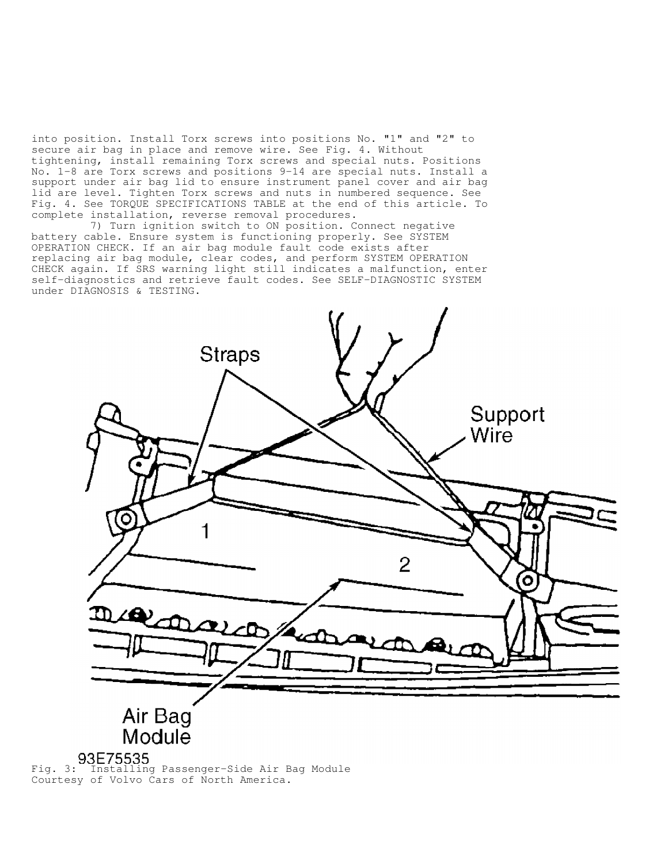into position. Install Torx screws into positions No. "1" and "2" to secure air bag in place and remove wire. See Fig. 4. Without tightening, install remaining Torx screws and special nuts. Positions No. 1-8 are Torx screws and positions 9-14 are special nuts. Install a support under air bag lid to ensure instrument panel cover and air bag lid are level. Tighten Torx screws and nuts in numbered sequence. See Fig. 4. See TORQUE SPECIFICATIONS TABLE at the end of this article. To complete installation, reverse removal procedures.

 7) Turn ignition switch to ON position. Connect negative battery cable. Ensure system is functioning properly. See SYSTEM OPERATION CHECK. If an air bag module fault code exists after replacing air bag module, clear codes, and perform SYSTEM OPERATION CHECK again. If SRS warning light still indicates a malfunction, enter self-diagnostics and retrieve fault codes. See SELF-DIAGNOSTIC SYSTEM under DIAGNOSIS & TESTING.



93E75535<br>Fig. 3: Installing Passenger-Side Air Bag Module Courtesy of Volvo Cars of North America.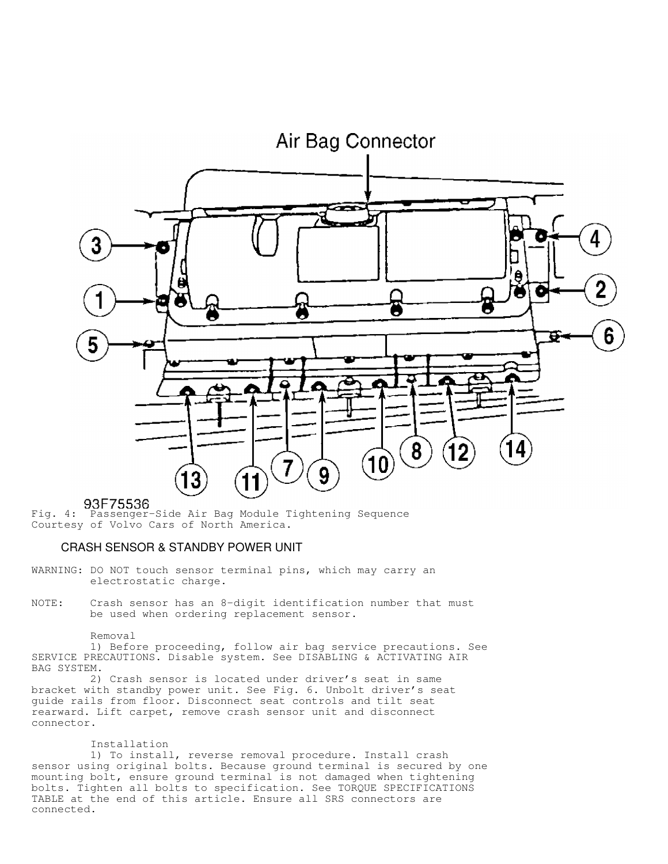

Fig. 4: Passenger-Side Air Bag Module Tightening Sequence Courtesy of Volvo Cars of North America.

#### CRASH SENSOR & STANDBY POWER UNIT

- WARNING: DO NOT touch sensor terminal pins, which may carry an electrostatic charge.
- NOTE: Crash sensor has an 8-digit identification number that must be used when ordering replacement sensor.

#### Removal

 1) Before proceeding, follow air bag service precautions. See SERVICE PRECAUTIONS. Disable system. See DISABLING & ACTIVATING AIR BAG SYSTEM.

 2) Crash sensor is located under driver's seat in same bracket with standby power unit. See Fig. 6. Unbolt driver's seat guide rails from floor. Disconnect seat controls and tilt seat rearward. Lift carpet, remove crash sensor unit and disconnect connector.

#### Installation

 1) To install, reverse removal procedure. Install crash sensor using original bolts. Because ground terminal is secured by one mounting bolt, ensure ground terminal is not damaged when tightening bolts. Tighten all bolts to specification. See TORQUE SPECIFICATIONS TABLE at the end of this article. Ensure all SRS connectors are connected.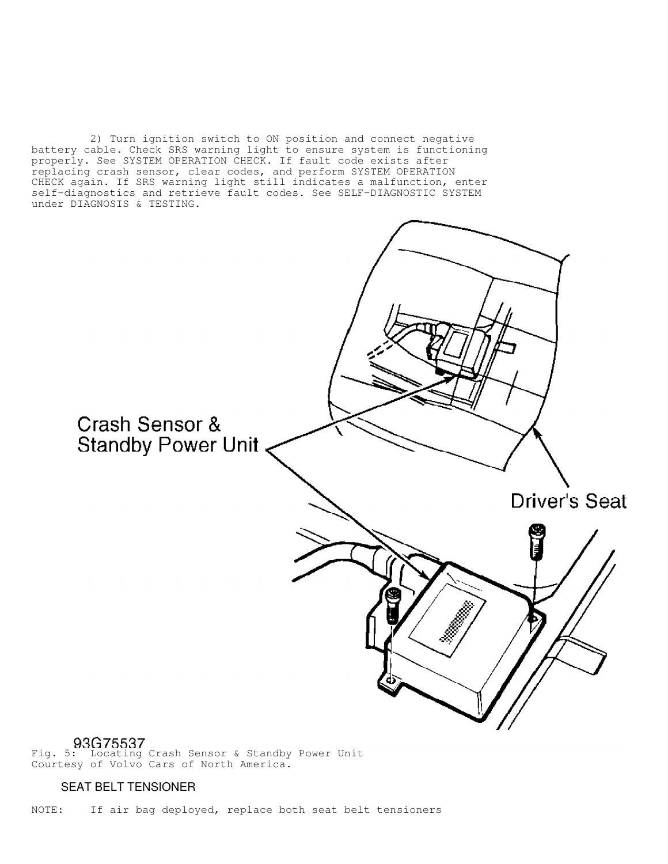2) Turn ignition switch to ON position and connect negative battery cable. Check SRS warning light to ensure system is functioning properly. See SYSTEM OPERATION CHECK. If fault code exists after replacing crash sensor, clear codes, and perform SYSTEM OPERATION CHECK again. If SRS warning light still indicates a malfunction, enter self-diagnostics and retrieve fault codes. See SELF-DIAGNOSTIC SYSTEM under DIAGNOSIS & TESTING.



Fig. 5: Locating Crash Sensor & Standby Power Unit Courtesy of Volvo Cars of North America.

# SEAT BELT TENSIONER

NOTE: If air bag deployed, replace both seat belt tensioners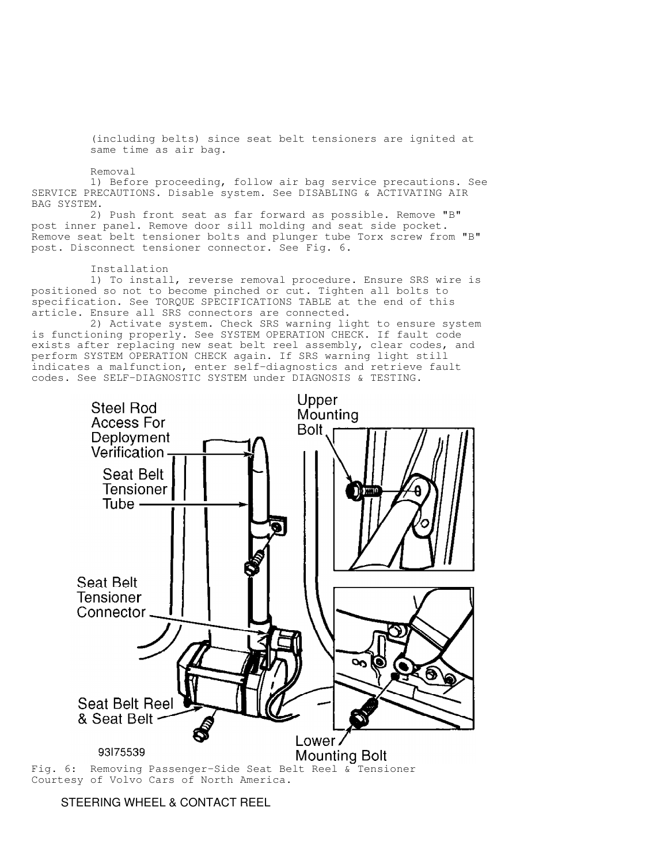(including belts) since seat belt tensioners are ignited at same time as air bag.

Removal

 1) Before proceeding, follow air bag service precautions. See SERVICE PRECAUTIONS. Disable system. See DISABLING & ACTIVATING AIR BAG SYSTEM.

 2) Push front seat as far forward as possible. Remove "B" post inner panel. Remove door sill molding and seat side pocket. Remove seat belt tensioner bolts and plunger tube Torx screw from "B" post. Disconnect tensioner connector. See Fig. 6.

Installation

 1) To install, reverse removal procedure. Ensure SRS wire is positioned so not to become pinched or cut. Tighten all bolts to specification. See TORQUE SPECIFICATIONS TABLE at the end of this article. Ensure all SRS connectors are connected.

 2) Activate system. Check SRS warning light to ensure system is functioning properly. See SYSTEM OPERATION CHECK. If fault code exists after replacing new seat belt reel assembly, clear codes, and perform SYSTEM OPERATION CHECK again. If SRS warning light still indicates a malfunction, enter self-diagnostics and retrieve fault codes. See SELF-DIAGNOSTIC SYSTEM under DIAGNOSIS & TESTING.



Courtesy of Volvo Cars of North America.

STEERING WHEEL & CONTACT REEL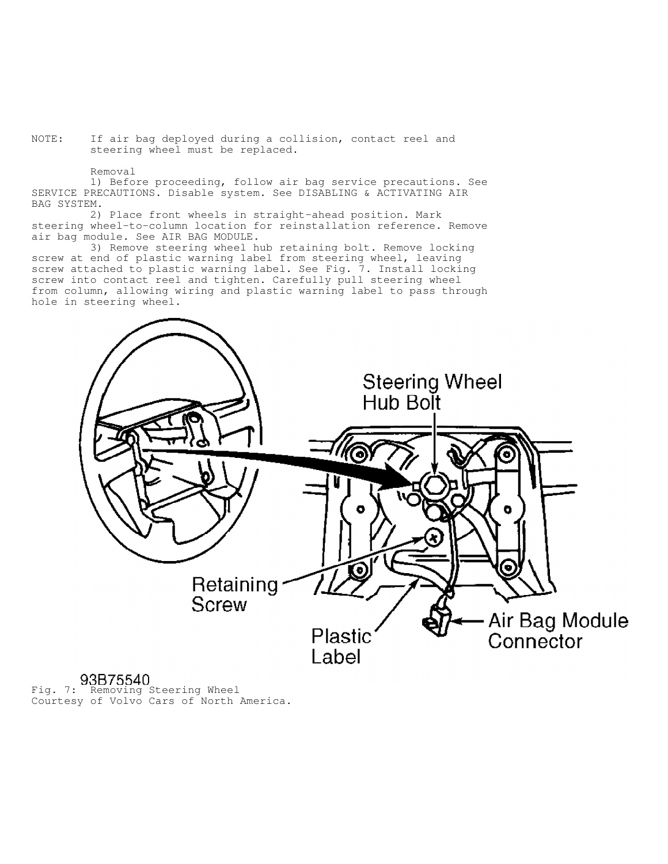NOTE: If air bag deployed during a collision, contact reel and steering wheel must be replaced.

Removal

 1) Before proceeding, follow air bag service precautions. See SERVICE PRECAUTIONS. Disable system. See DISABLING & ACTIVATING AIR BAG SYSTEM.

 2) Place front wheels in straight-ahead position. Mark steering wheel-to-column location for reinstallation reference. Remove air bag module. See AIR BAG MODULE.

 3) Remove steering wheel hub retaining bolt. Remove locking screw at end of plastic warning label from steering wheel, leaving screw attached to plastic warning label. See Fig. 7. Install locking screw into contact reel and tighten. Carefully pull steering wheel from column, allowing wiring and plastic warning label to pass through hole in steering wheel.



Fig. 7: Removing Steering Wheel Courtesy of Volvo Cars of North America.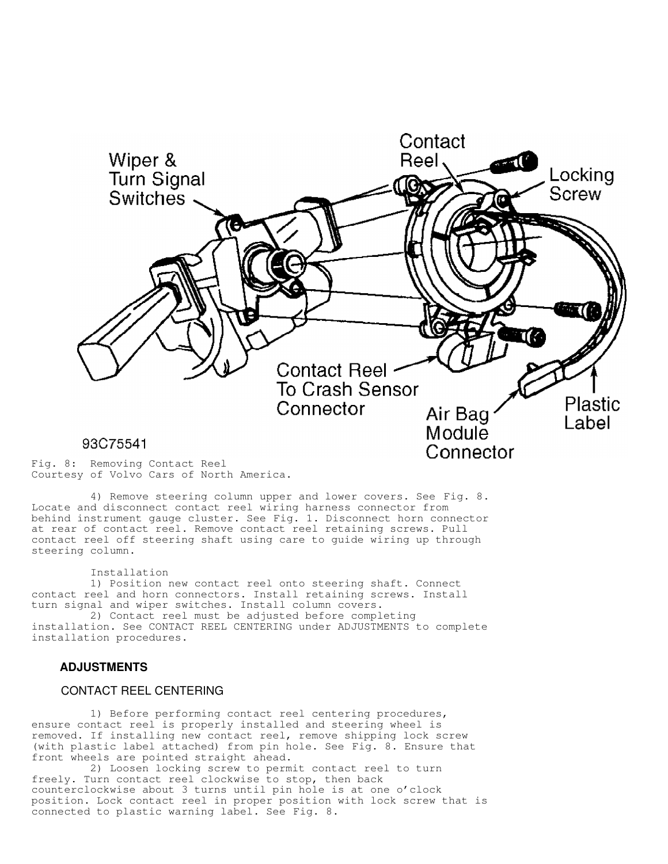

Fig. 8: Removing Contact Reel Courtesy of Volvo Cars of North America.

 4) Remove steering column upper and lower covers. See Fig. 8. Locate and disconnect contact reel wiring harness connector from behind instrument gauge cluster. See Fig. 1. Disconnect horn connector at rear of contact reel. Remove contact reel retaining screws. Pull contact reel off steering shaft using care to guide wiring up through steering column.

Installation

 1) Position new contact reel onto steering shaft. Connect contact reel and horn connectors. Install retaining screws. Install turn signal and wiper switches. Install column covers.

 2) Contact reel must be adjusted before completing installation. See CONTACT REEL CENTERING under ADJUSTMENTS to complete installation procedures.

## **ADJUSTMENTS**

# CONTACT REEL CENTERING

 1) Before performing contact reel centering procedures, ensure contact reel is properly installed and steering wheel is removed. If installing new contact reel, remove shipping lock screw (with plastic label attached) from pin hole. See Fig. 8. Ensure that front wheels are pointed straight ahead.

 2) Loosen locking screw to permit contact reel to turn freely. Turn contact reel clockwise to stop, then back counterclockwise about 3 turns until pin hole is at one o'clock position. Lock contact reel in proper position with lock screw that is connected to plastic warning label. See Fig. 8.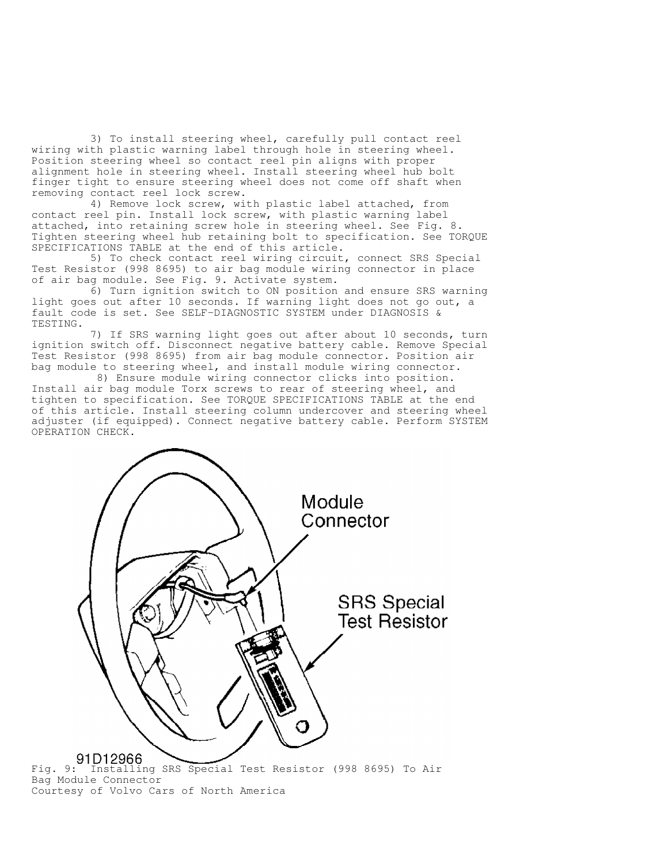3) To install steering wheel, carefully pull contact reel wiring with plastic warning label through hole in steering wheel. Position steering wheel so contact reel pin aligns with proper alignment hole in steering wheel. Install steering wheel hub bolt finger tight to ensure steering wheel does not come off shaft when removing contact reel lock screw.

 4) Remove lock screw, with plastic label attached, from contact reel pin. Install lock screw, with plastic warning label attached, into retaining screw hole in steering wheel. See Fig. 8. Tighten steering wheel hub retaining bolt to specification. See TORQUE SPECIFICATIONS TABLE at the end of this article.

 5) To check contact reel wiring circuit, connect SRS Special Test Resistor (998 8695) to air bag module wiring connector in place of air bag module. See Fig. 9. Activate system.

 6) Turn ignition switch to ON position and ensure SRS warning light goes out after 10 seconds. If warning light does not go out, a fault code is set. See SELF-DIAGNOSTIC SYSTEM under DIAGNOSIS & TESTING.

 7) If SRS warning light goes out after about 10 seconds, turn ignition switch off. Disconnect negative battery cable. Remove Special Test Resistor (998 8695) from air bag module connector. Position air bag module to steering wheel, and install module wiring connector.

 8) Ensure module wiring connector clicks into position. Install air bag module Torx screws to rear of steering wheel, and tighten to specification. See TORQUE SPECIFICATIONS TABLE at the end of this article. Install steering column undercover and steering wheel adjuster (if equipped). Connect negative battery cable. Perform SYSTEM OPERATION CHECK.



Bag Module Connector Courtesy of Volvo Cars of North America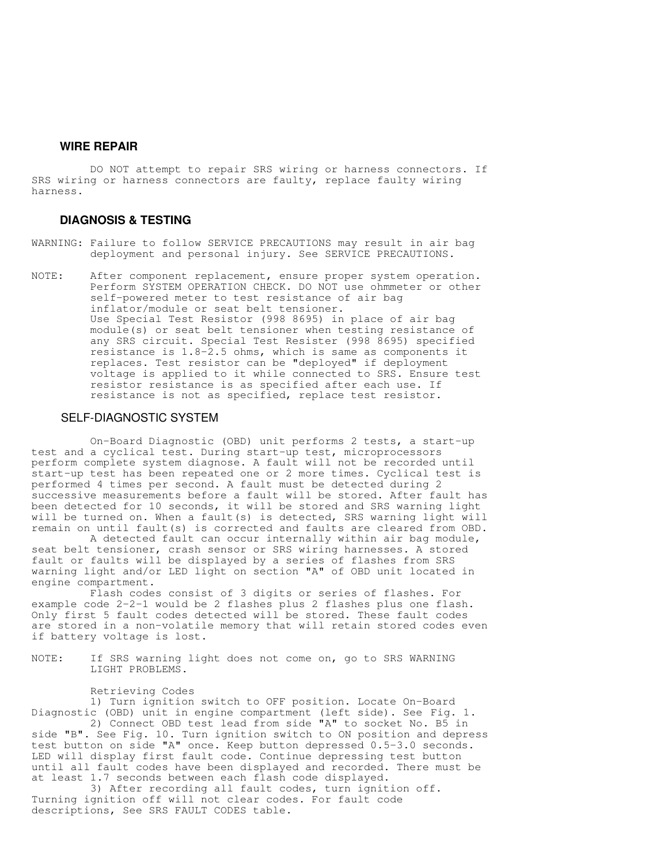# **WIRE REPAIR**

 DO NOT attempt to repair SRS wiring or harness connectors. If SRS wiring or harness connectors are faulty, replace faulty wiring harness.

# **DIAGNOSIS & TESTING**

- WARNING: Failure to follow SERVICE PRECAUTIONS may result in air bag deployment and personal injury. See SERVICE PRECAUTIONS.
- NOTE: After component replacement, ensure proper system operation. Perform SYSTEM OPERATION CHECK. DO NOT use ohmmeter or other self-powered meter to test resistance of air bag inflator/module or seat belt tensioner. Use Special Test Resistor (998 8695) in place of air bag module(s) or seat belt tensioner when testing resistance of any SRS circuit. Special Test Resister (998 8695) specified resistance is 1.8-2.5 ohms, which is same as components it replaces. Test resistor can be "deployed" if deployment voltage is applied to it while connected to SRS. Ensure test resistor resistance is as specified after each use. If resistance is not as specified, replace test resistor.

#### SELF-DIAGNOSTIC SYSTEM

 On-Board Diagnostic (OBD) unit performs 2 tests, a start-up test and a cyclical test. During start-up test, microprocessors perform complete system diagnose. A fault will not be recorded until start-up test has been repeated one or 2 more times. Cyclical test is performed 4 times per second. A fault must be detected during 2 successive measurements before a fault will be stored. After fault has been detected for 10 seconds, it will be stored and SRS warning light will be turned on. When a fault(s) is detected, SRS warning light will remain on until fault(s) is corrected and faults are cleared from OBD.

 A detected fault can occur internally within air bag module, seat belt tensioner, crash sensor or SRS wiring harnesses. A stored fault or faults will be displayed by a series of flashes from SRS warning light and/or LED light on section "A" of OBD unit located in engine compartment.

 Flash codes consist of 3 digits or series of flashes. For example code 2-2-1 would be 2 flashes plus 2 flashes plus one flash. Only first 5 fault codes detected will be stored. These fault codes are stored in a non-volatile memory that will retain stored codes even if battery voltage is lost.

NOTE: If SRS warning light does not come on, go to SRS WARNING LIGHT PROBLEMS.

#### Retrieving Codes

 1) Turn ignition switch to OFF position. Locate On-Board Diagnostic (OBD) unit in engine compartment (left side). See Fig. 1. 2) Connect OBD test lead from side "A" to socket No. B5 in

side "B". See Fig. 10. Turn ignition switch to ON position and depress test button on side "A" once. Keep button depressed 0.5-3.0 seconds. LED will display first fault code. Continue depressing test button until all fault codes have been displayed and recorded. There must be at least 1.7 seconds between each flash code displayed.

 3) After recording all fault codes, turn ignition off. Turning ignition off will not clear codes. For fault code descriptions, See SRS FAULT CODES table.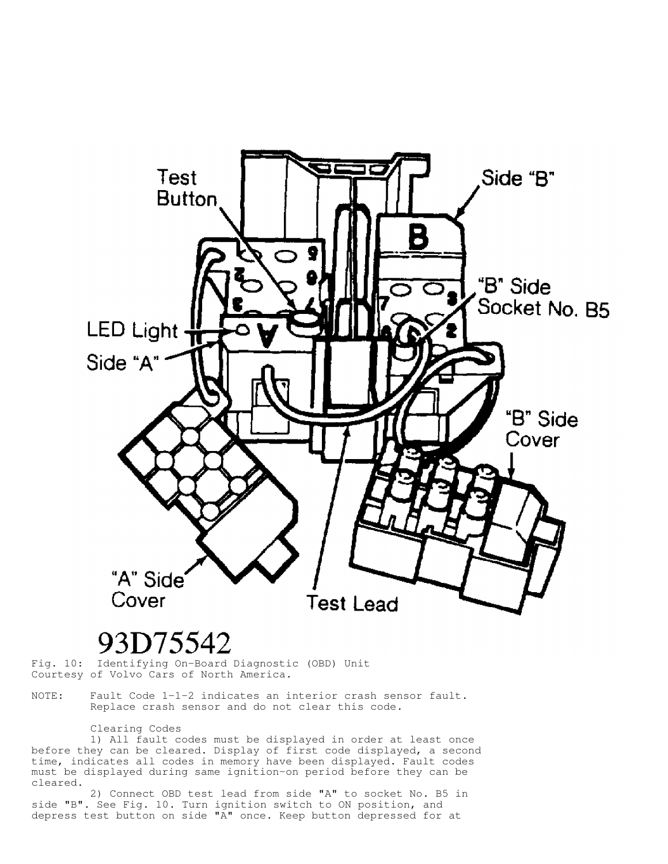

# 93D75542

Fig. 10: Identifying On-Board Diagnostic (OBD) Unit Courtesy of Volvo Cars of North America.

NOTE: Fault Code 1-1-2 indicates an interior crash sensor fault. Replace crash sensor and do not clear this code.

#### Clearing Codes

 1) All fault codes must be displayed in order at least once before they can be cleared. Display of first code displayed, a second time, indicates all codes in memory have been displayed. Fault codes must be displayed during same ignition-on period before they can be cleared.

 2) Connect OBD test lead from side "A" to socket No. B5 in side "B". See Fig. 10. Turn ignition switch to ON position, and depress test button on side "A" once. Keep button depressed for at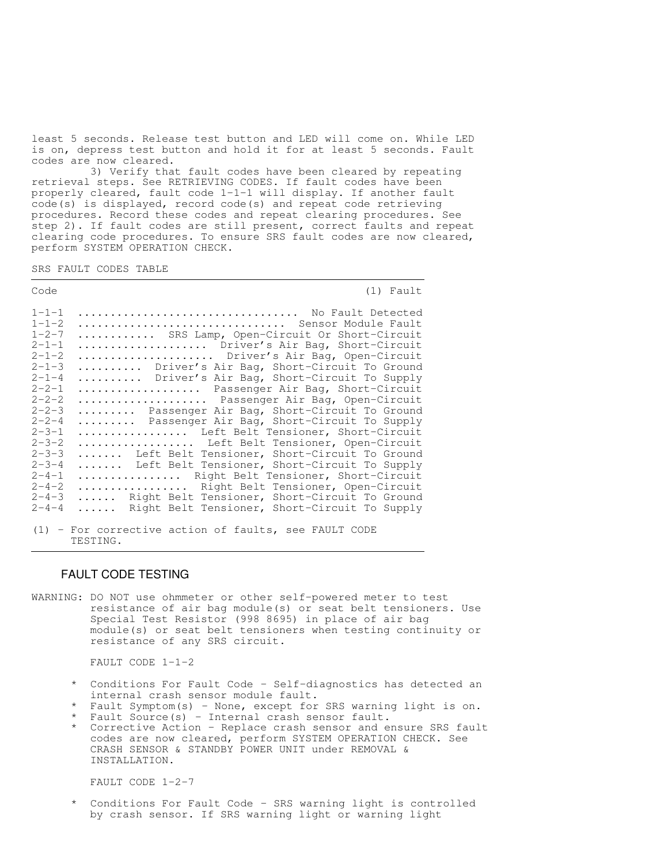least 5 seconds. Release test button and LED will come on. While LED is on, depress test button and hold it for at least 5 seconds. Fault codes are now cleared.

 3) Verify that fault codes have been cleared by repeating retrieval steps. See RETRIEVING CODES. If fault codes have been properly cleared, fault code 1-1-1 will display. If another fault code(s) is displayed, record code(s) and repeat code retrieving procedures. Record these codes and repeat clearing procedures. See step 2). If fault codes are still present, correct faults and repeat clearing code procedures. To ensure SRS fault codes are now cleared, perform SYSTEM OPERATION CHECK.

SRS FAULT CODES TABLE

| Code        | $(1)$ Fault                                   |
|-------------|-----------------------------------------------|
| $1 - 1 - 1$ | No Fault Detected                             |
| $1 - 1 - 2$ | Sensor Module Fault                           |
| $1 - 2 - 7$ | SRS Lamp, Open-Circuit Or Short-Circuit       |
| $2 - 1 - 1$ | Driver's Air Bag, Short-Circuit               |
| $2 - 1 - 2$ | Driver's Air Bag, Open-Circuit                |
| $2 - 1 - 3$ | Driver's Air Bag, Short-Circuit To Ground     |
| $2 - 1 - 4$ | Driver's Air Bag, Short-Circuit To Supply     |
| $2 - 2 - 1$ | Passenger Air Bag, Short-Circuit              |
| $2 - 2 - 2$ | Passenger Air Bag, Open-Circuit               |
| $2 - 2 - 3$ | Passenger Air Bag, Short-Circuit To Ground    |
| $2 - 2 - 4$ | Passenger Air Bag, Short-Circuit To Supply    |
| $2 - 3 - 1$ | Left Belt Tensioner, Short-Circuit            |
| $2 - 3 - 2$ | Left Belt Tensioner, Open-Circuit             |
| $2 - 3 - 3$ | Left Belt Tensioner, Short-Circuit To Ground  |
| $2 - 3 - 4$ | Left Belt Tensioner, Short-Circuit To Supply  |
| $2 - 4 - 1$ | Right Belt Tensioner, Short-Circuit           |
| $2 - 4 - 2$ | Right Belt Tensioner, Open-Circuit            |
| $2 - 4 - 3$ | Right Belt Tensioner, Short-Circuit To Ground |
| $2 - 4 - 4$ | Right Belt Tensioner, Short-Circuit To Supply |

(1) - For corrective action of faults, see FAULT CODE TESTING.

# FAULT CODE TESTING

WARNING: DO NOT use ohmmeter or other self-powered meter to test resistance of air bag module(s) or seat belt tensioners. Use Special Test Resistor (998 8695) in place of air bag module(s) or seat belt tensioners when testing continuity or resistance of any SRS circuit.

FAULT CODE 1-1-2

- \* Conditions For Fault Code Self-diagnostics has detected an internal crash sensor module fault.
- \* Fault Symptom(s) None, except for SRS warning light is on.
- \* Fault Source(s) Internal crash sensor fault.
- \* Corrective Action Replace crash sensor and ensure SRS fault codes are now cleared, perform SYSTEM OPERATION CHECK. See CRASH SENSOR & STANDBY POWER UNIT under REMOVAL & INSTALLATION.

FAULT CODE 1-2-7

 \* Conditions For Fault Code - SRS warning light is controlled by crash sensor. If SRS warning light or warning light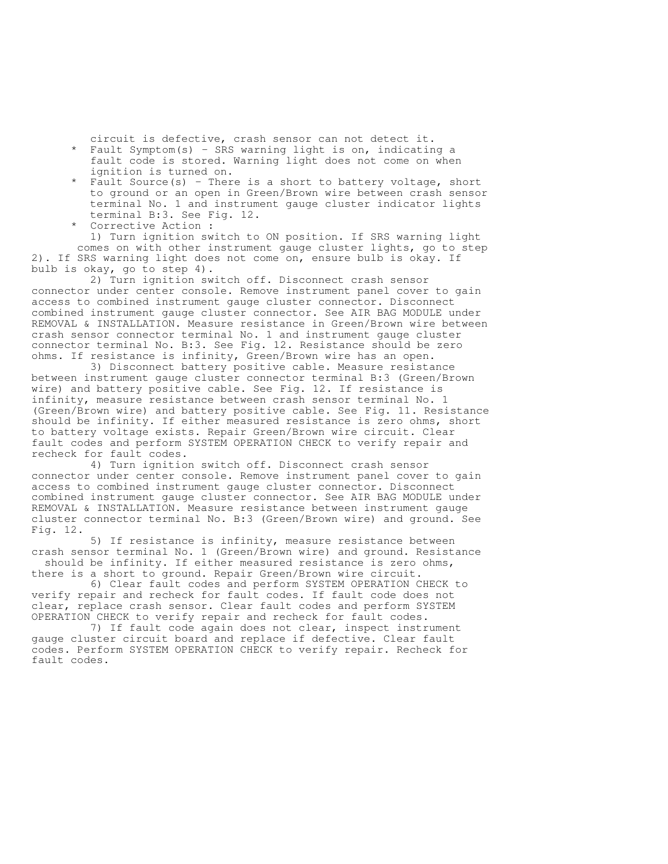circuit is defective, crash sensor can not detect it.

- Fault Symptom(s) SRS warning light is on, indicating a fault code is stored. Warning light does not come on when ignition is turned on.
- Fault Source(s) There is a short to battery voltage, short to ground or an open in Green/Brown wire between crash sensor terminal No. 1 and instrument gauge cluster indicator lights terminal B:3. See Fig. 12.
- Corrective Action : 1) Turn ignition switch to ON position. If SRS warning light comes on with other instrument gauge cluster lights, go to step 2). If SRS warning light does not come on, ensure bulb is okay. If bulb is okay, go to step 4).

 2) Turn ignition switch off. Disconnect crash sensor connector under center console. Remove instrument panel cover to gain access to combined instrument gauge cluster connector. Disconnect combined instrument gauge cluster connector. See AIR BAG MODULE under REMOVAL & INSTALLATION. Measure resistance in Green/Brown wire between crash sensor connector terminal No. 1 and instrument gauge cluster connector terminal No. B:3. See Fig. 12. Resistance should be zero ohms. If resistance is infinity, Green/Brown wire has an open.

 3) Disconnect battery positive cable. Measure resistance between instrument gauge cluster connector terminal B:3 (Green/Brown wire) and battery positive cable. See Fig. 12. If resistance is infinity, measure resistance between crash sensor terminal No. 1 (Green/Brown wire) and battery positive cable. See Fig. 11. Resistance should be infinity. If either measured resistance is zero ohms, short to battery voltage exists. Repair Green/Brown wire circuit. Clear fault codes and perform SYSTEM OPERATION CHECK to verify repair and recheck for fault codes.

 4) Turn ignition switch off. Disconnect crash sensor connector under center console. Remove instrument panel cover to gain access to combined instrument gauge cluster connector. Disconnect combined instrument gauge cluster connector. See AIR BAG MODULE under REMOVAL & INSTALLATION. Measure resistance between instrument gauge cluster connector terminal No. B:3 (Green/Brown wire) and ground. See Fig. 12.

 5) If resistance is infinity, measure resistance between crash sensor terminal No. 1 (Green/Brown wire) and ground. Resistance should be infinity. If either measured resistance is zero ohms,

there is a short to ground. Repair Green/Brown wire circuit. 6) Clear fault codes and perform SYSTEM OPERATION CHECK to verify repair and recheck for fault codes. If fault code does not clear, replace crash sensor. Clear fault codes and perform SYSTEM OPERATION CHECK to verify repair and recheck for fault codes.

 7) If fault code again does not clear, inspect instrument gauge cluster circuit board and replace if defective. Clear fault codes. Perform SYSTEM OPERATION CHECK to verify repair. Recheck for fault codes.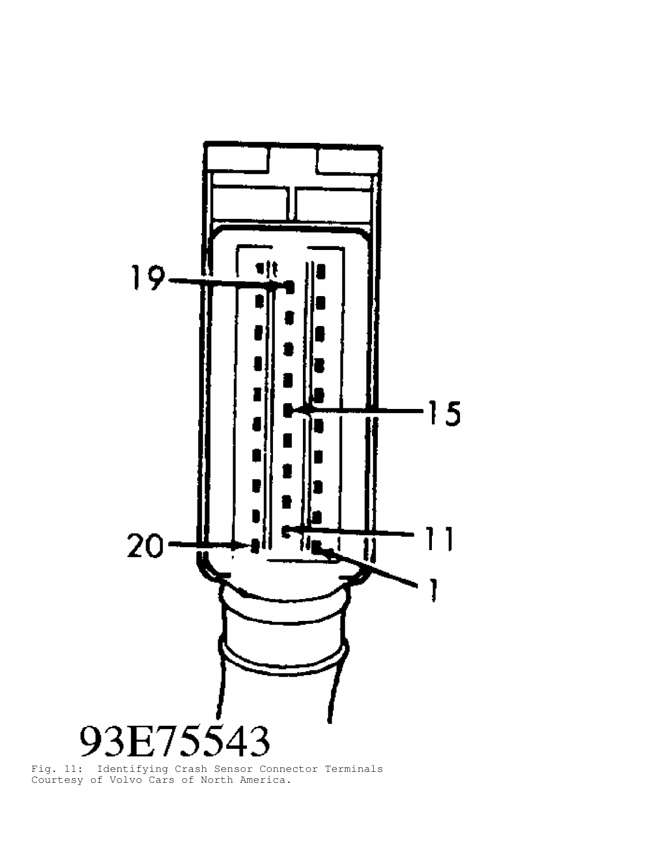

Fig. 11: Identifying Crash Sensor Connector Terminals Courtesy of Volvo Cars of North America.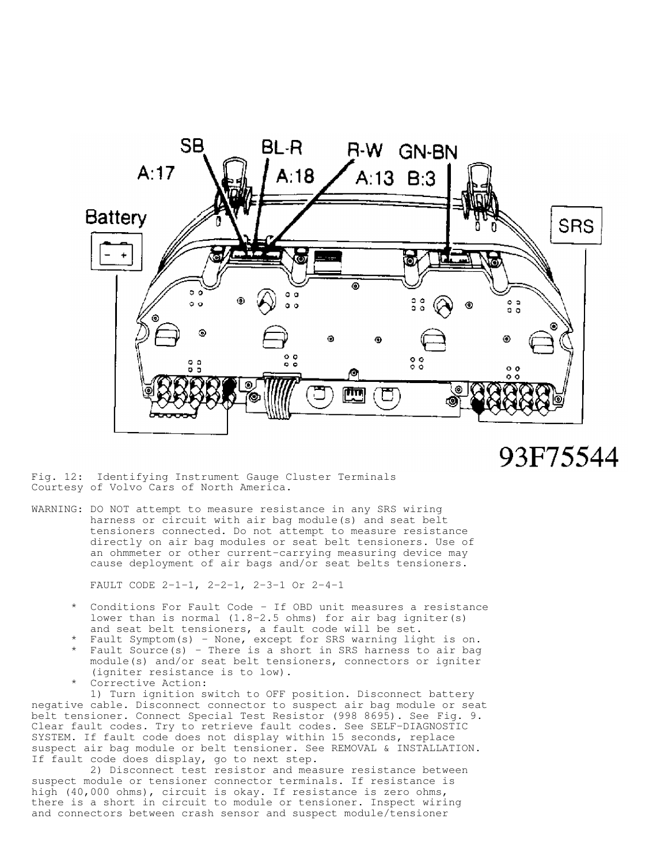

93F75544

Fig. 12: Identifying Instrument Gauge Cluster Terminals Courtesy of Volvo Cars of North America.

WARNING: DO NOT attempt to measure resistance in any SRS wiring harness or circuit with air bag module(s) and seat belt tensioners connected. Do not attempt to measure resistance directly on air bag modules or seat belt tensioners. Use of an ohmmeter or other current-carrying measuring device may cause deployment of air bags and/or seat belts tensioners.

FAULT CODE 2-1-1, 2-2-1, 2-3-1 Or 2-4-1

- Conditions For Fault Code If OBD unit measures a resistance lower than is normal (1.8-2.5 ohms) for air bag igniter(s) and seat belt tensioners, a fault code will be set.
- \* Fault Symptom(s) None, except for SRS warning light is on.
- \* Fault Source(s) There is a short in SRS harness to air bag module(s) and/or seat belt tensioners, connectors or igniter (igniter resistance is to low).
	- Corrective Action:

 1) Turn ignition switch to OFF position. Disconnect battery negative cable. Disconnect connector to suspect air bag module or seat belt tensioner. Connect Special Test Resistor (998 8695). See Fig. 9. Clear fault codes. Try to retrieve fault codes. See SELF-DIAGNOSTIC SYSTEM. If fault code does not display within 15 seconds, replace suspect air bag module or belt tensioner. See REMOVAL & INSTALLATION. If fault code does display, go to next step.

 2) Disconnect test resistor and measure resistance between suspect module or tensioner connector terminals. If resistance is high (40,000 ohms), circuit is okay. If resistance is zero ohms, there is a short in circuit to module or tensioner. Inspect wiring and connectors between crash sensor and suspect module/tensioner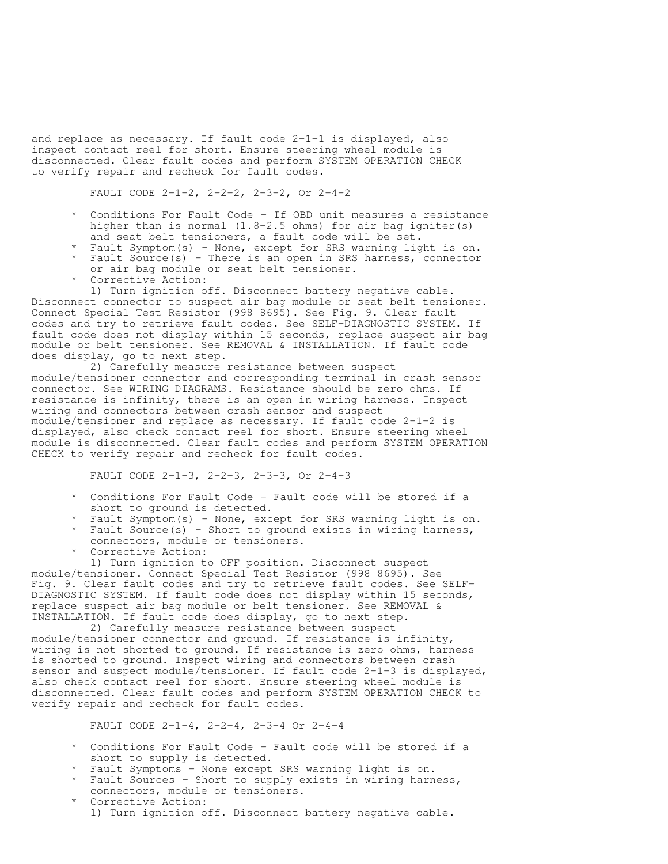and replace as necessary. If fault code 2-1-1 is displayed, also inspect contact reel for short. Ensure steering wheel module is disconnected. Clear fault codes and perform SYSTEM OPERATION CHECK to verify repair and recheck for fault codes.

FAULT CODE 2-1-2, 2-2-2, 2-3-2, Or 2-4-2

- Conditions For Fault Code If OBD unit measures a resistance higher than is normal  $(1.8-2.5)$  ohms) for air bag igniter(s) and seat belt tensioners, a fault code will be set.
- \* Fault Symptom(s) None, except for SRS warning light is on. \* Fault Source(s) - There is an open in SRS harness, connector
	- or air bag module or seat belt tensioner.
	- Corrective Action:

 1) Turn ignition off. Disconnect battery negative cable. Disconnect connector to suspect air bag module or seat belt tensioner. Connect Special Test Resistor (998 8695). See Fig. 9. Clear fault codes and try to retrieve fault codes. See SELF-DIAGNOSTIC SYSTEM. If fault code does not display within 15 seconds, replace suspect air bag module or belt tensioner. See REMOVAL & INSTALLATION. If fault code does display, go to next step.

 2) Carefully measure resistance between suspect module/tensioner connector and corresponding terminal in crash sensor connector. See WIRING DIAGRAMS. Resistance should be zero ohms. If resistance is infinity, there is an open in wiring harness. Inspect wiring and connectors between crash sensor and suspect module/tensioner and replace as necessary. If fault code 2-1-2 is displayed, also check contact reel for short. Ensure steering wheel module is disconnected. Clear fault codes and perform SYSTEM OPERATION CHECK to verify repair and recheck for fault codes.

FAULT CODE 2-1-3, 2-2-3, 2-3-3, Or 2-4-3

- \* Conditions For Fault Code Fault code will be stored if a short to ground is detected.
- Fault Symptom(s) None, except for SRS warning light is on.
- \* Fault Source(s) Short to ground exists in wiring harness, connectors, module or tensioners.
- Corrective Action:

 1) Turn ignition to OFF position. Disconnect suspect module/tensioner. Connect Special Test Resistor (998 8695). See

Fig. 9. Clear fault codes and try to retrieve fault codes. See SELF-DIAGNOSTIC SYSTEM. If fault code does not display within 15 seconds, replace suspect air bag module or belt tensioner. See REMOVAL & INSTALLATION. If fault code does display, go to next step.

 2) Carefully measure resistance between suspect module/tensioner connector and ground. If resistance is infinity, wiring is not shorted to ground. If resistance is zero ohms, harness is shorted to ground. Inspect wiring and connectors between crash sensor and suspect module/tensioner. If fault code 2-1-3 is displayed, also check contact reel for short. Ensure steering wheel module is disconnected. Clear fault codes and perform SYSTEM OPERATION CHECK to verify repair and recheck for fault codes.

FAULT CODE 2-1-4, 2-2-4, 2-3-4 Or 2-4-4

- Conditions For Fault Code Fault code will be stored if a short to supply is detected.
- \* Fault Symptoms None except SRS warning light is on.
- \* Fault Sources Short to supply exists in wiring harness, connectors, module or tensioners.
	- Corrective Action: 1) Turn ignition off. Disconnect battery negative cable.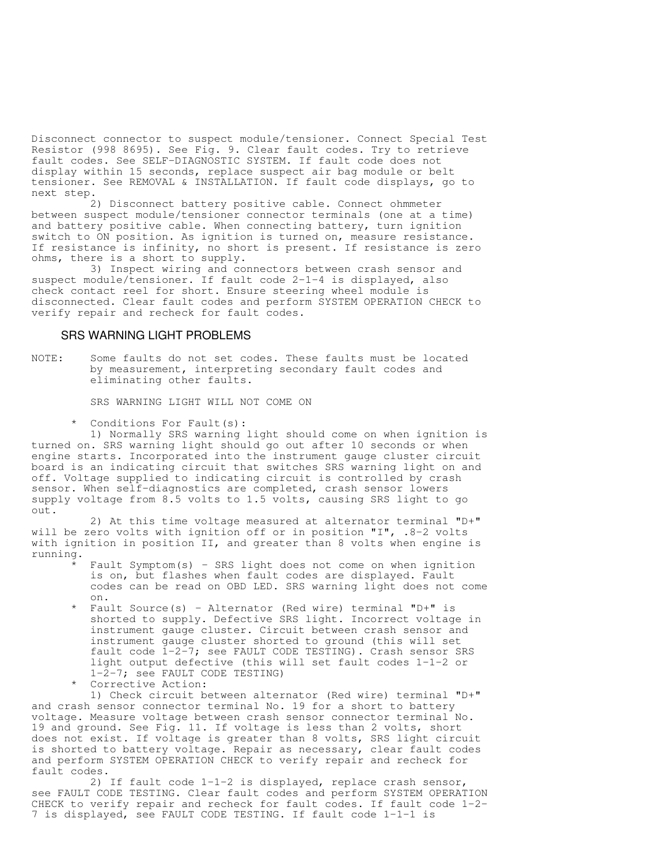Disconnect connector to suspect module/tensioner. Connect Special Test Resistor (998 8695). See Fig. 9. Clear fault codes. Try to retrieve fault codes. See SELF-DIAGNOSTIC SYSTEM. If fault code does not display within 15 seconds, replace suspect air bag module or belt tensioner. See REMOVAL & INSTALLATION. If fault code displays, go to next step.

 2) Disconnect battery positive cable. Connect ohmmeter between suspect module/tensioner connector terminals (one at a time) and battery positive cable. When connecting battery, turn ignition switch to ON position. As ignition is turned on, measure resistance. If resistance is infinity, no short is present. If resistance is zero ohms, there is a short to supply.

 3) Inspect wiring and connectors between crash sensor and suspect module/tensioner. If fault code 2-1-4 is displayed, also check contact reel for short. Ensure steering wheel module is disconnected. Clear fault codes and perform SYSTEM OPERATION CHECK to verify repair and recheck for fault codes.

#### SRS WARNING LIGHT PROBLEMS

NOTE: Some faults do not set codes. These faults must be located by measurement, interpreting secondary fault codes and eliminating other faults.

SRS WARNING LIGHT WILL NOT COME ON

Conditions For Fault(s):

 1) Normally SRS warning light should come on when ignition is turned on. SRS warning light should go out after 10 seconds or when engine starts. Incorporated into the instrument gauge cluster circuit board is an indicating circuit that switches SRS warning light on and off. Voltage supplied to indicating circuit is controlled by crash sensor. When self-diagnostics are completed, crash sensor lowers supply voltage from 8.5 volts to 1.5 volts, causing SRS light to go out.

 2) At this time voltage measured at alternator terminal "D+" will be zero volts with ignition off or in position "I", .8-2 volts with ignition in position II, and greater than 8 volts when engine is running.

- Fault Symptom(s) SRS light does not come on when ignition is on, but flashes when fault codes are displayed. Fault codes can be read on OBD LED. SRS warning light does not come on.
- \* Fault Source(s) Alternator (Red wire) terminal "D+" is shorted to supply. Defective SRS light. Incorrect voltage in instrument gauge cluster. Circuit between crash sensor and instrument gauge cluster shorted to ground (this will set fault code 1-2-7; see FAULT CODE TESTING). Crash sensor SRS light output defective (this will set fault codes 1-1-2 or 1-2-7; see FAULT CODE TESTING)
- Corrective Action:

 1) Check circuit between alternator (Red wire) terminal "D+" and crash sensor connector terminal No. 19 for a short to battery voltage. Measure voltage between crash sensor connector terminal No. 19 and ground. See Fig. 11. If voltage is less than 2 volts, short does not exist. If voltage is greater than 8 volts, SRS light circuit is shorted to battery voltage. Repair as necessary, clear fault codes and perform SYSTEM OPERATION CHECK to verify repair and recheck for fault codes.

 2) If fault code 1-1-2 is displayed, replace crash sensor, see FAULT CODE TESTING. Clear fault codes and perform SYSTEM OPERATION CHECK to verify repair and recheck for fault codes. If fault code 1-2- 7 is displayed, see FAULT CODE TESTING. If fault code 1-1-1 is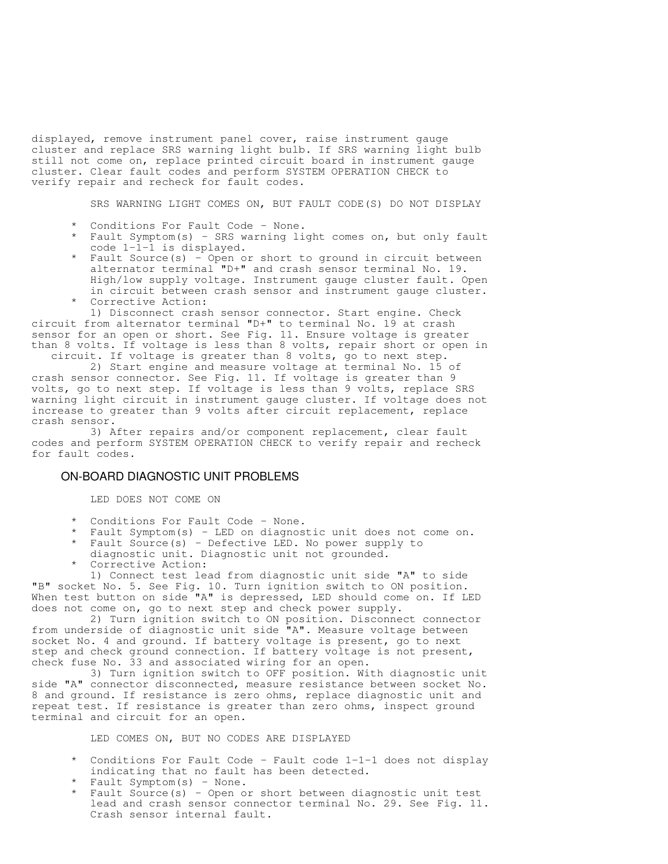displayed, remove instrument panel cover, raise instrument gauge cluster and replace SRS warning light bulb. If SRS warning light bulb still not come on, replace printed circuit board in instrument gauge cluster. Clear fault codes and perform SYSTEM OPERATION CHECK to verify repair and recheck for fault codes.

SRS WARNING LIGHT COMES ON, BUT FAULT CODE(S) DO NOT DISPLAY

- Conditions For Fault Code None.
- Fault Symptom(s) SRS warning light comes on, but only fault code 1-1-1 is displayed.
- \* Fault Source(s) Open or short to ground in circuit between alternator terminal "D+" and crash sensor terminal No. 19. High/low supply voltage. Instrument gauge cluster fault. Open in circuit between crash sensor and instrument gauge cluster.
	- Corrective Action: 1) Disconnect crash sensor connector. Start engine. Check

circuit from alternator terminal "D+" to terminal No. 19 at crash sensor for an open or short. See Fig. 11. Ensure voltage is greater than 8 volts. If voltage is less than 8 volts, repair short or open in circuit. If voltage is greater than 8 volts, go to next step.

 2) Start engine and measure voltage at terminal No. 15 of crash sensor connector. See Fig. 11. If voltage is greater than 9 volts, go to next step. If voltage is less than 9 volts, replace SRS warning light circuit in instrument gauge cluster. If voltage does not increase to greater than 9 volts after circuit replacement, replace crash sensor.

 3) After repairs and/or component replacement, clear fault codes and perform SYSTEM OPERATION CHECK to verify repair and recheck for fault codes.

### ON-BOARD DIAGNOSTIC UNIT PROBLEMS

LED DOES NOT COME ON

- \* Conditions For Fault Code None.
- \* Fault Symptom(s) LED on diagnostic unit does not come on. \* Fault Source(s) - Defective LED. No power supply to
- diagnostic unit. Diagnostic unit not grounded. Corrective Action:

 1) Connect test lead from diagnostic unit side "A" to side "B" socket No. 5. See Fig. 10. Turn ignition switch to ON position. When test button on side "A" is depressed, LED should come on. If LED does not come on, go to next step and check power supply.

 2) Turn ignition switch to ON position. Disconnect connector from underside of diagnostic unit side "A". Measure voltage between socket No. 4 and ground. If battery voltage is present, go to next step and check ground connection. If battery voltage is not present, check fuse No. 33 and associated wiring for an open.

 3) Turn ignition switch to OFF position. With diagnostic unit side "A" connector disconnected, measure resistance between socket No. 8 and ground. If resistance is zero ohms, replace diagnostic unit and repeat test. If resistance is greater than zero ohms, inspect ground terminal and circuit for an open.

LED COMES ON, BUT NO CODES ARE DISPLAYED

- Conditions For Fault Code Fault code  $1-1-1$  does not display indicating that no fault has been detected.
- Fault Symptom(s) None.
- Fault Source(s) Open or short between diagnostic unit test lead and crash sensor connector terminal No. 29. See Fig. 11. Crash sensor internal fault.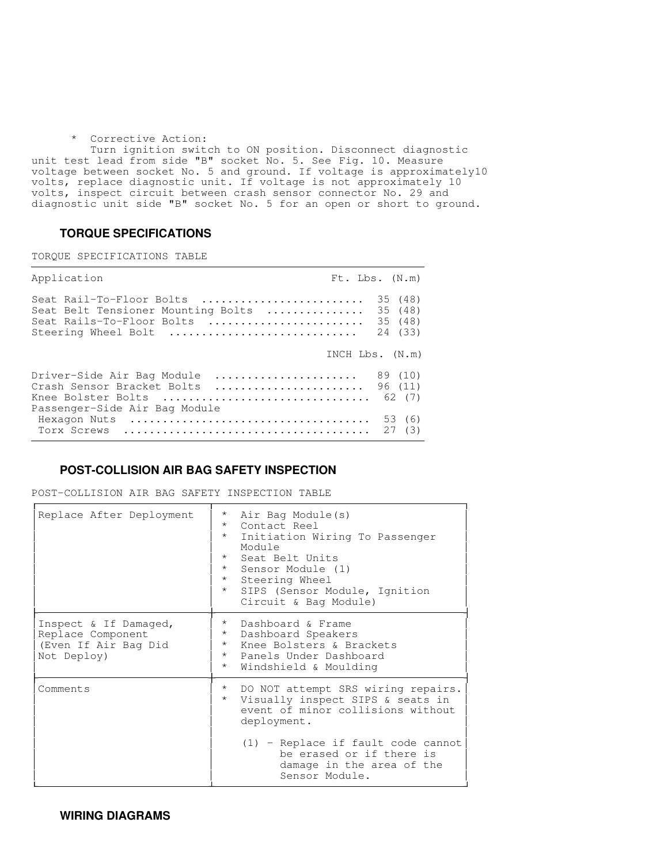#### \* Corrective Action:

 Turn ignition switch to ON position. Disconnect diagnostic unit test lead from side "B" socket No. 5. See Fig. 10. Measure voltage between socket No. 5 and ground. If voltage is approximately10 volts, replace diagnostic unit. If voltage is not approximately 10 volts, inspect circuit between crash sensor connector No. 29 and diagnostic unit side "B" socket No. 5 for an open or short to ground.

# **TORQUE SPECIFICATIONS**

TORQUE SPECIFICATIONS TABLE

| Application                                                                                                        | $Ft$ . Lbs. $(N.m)$                      |
|--------------------------------------------------------------------------------------------------------------------|------------------------------------------|
| Seat Rail-To-Floor Bolts<br>Seat Belt Tensioner Mounting Bolts<br>Seat Rails-To-Floor Bolts<br>Steering Wheel Bolt | 35 (48)<br>35 (48)<br>35 (48)<br>24 (33) |
|                                                                                                                    | INCH $Lbs.$ $(N.m)$                      |
| Driver-Side Air Bag Module<br>Crash Sensor Bracket Bolts<br>Knee Bolster Bolts<br>Passenger-Side Air Bag Module    | 89 (10)<br>96 (11)<br>62 (7)             |
| Hexagon Nuts<br>Torx Screws                                                                                        | 53 (6)<br>27(3)                          |

# **POST-COLLISION AIR BAG SAFETY INSPECTION**

POST-COLLISION AIR BAG SAFETY INSPECTION TABLE

| Replace After Deployment                                                          | $\star$<br>Air Bag Module(s)<br>$\star$<br>Contact Reel<br>$\star$<br>Initiation Wiring To Passenger<br>Module<br>$\star$<br>Seat Belt Units<br>$\star$<br>Sensor Module (1)<br>$\star$<br>Steering Wheel<br>$\star$<br>SIPS (Sensor Module, Ignition<br>Circuit & Bag Module) |
|-----------------------------------------------------------------------------------|--------------------------------------------------------------------------------------------------------------------------------------------------------------------------------------------------------------------------------------------------------------------------------|
| Inspect & If Damaged,<br>Replace Component<br>(Even If Air Bag Did<br>Not Deploy) | Dashboard & Frame<br>$\star$<br>$\star$<br>Dashboard Speakers<br>Knee Bolsters & Brackets<br>$\star$<br>$\star$<br>Panels Under Dashboard<br>$\star$<br>Windshield & Moulding                                                                                                  |
| Comments                                                                          | DO NOT attempt SRS wiring repairs.<br>$\star$<br>Visually inspect SIPS & seats in<br>$\star$<br>event of minor collisions without<br>deployment.                                                                                                                               |
|                                                                                   | $(1)$ - Replace if fault code cannot<br>be erased or if there is<br>damage in the area of the<br>Sensor Module.                                                                                                                                                                |